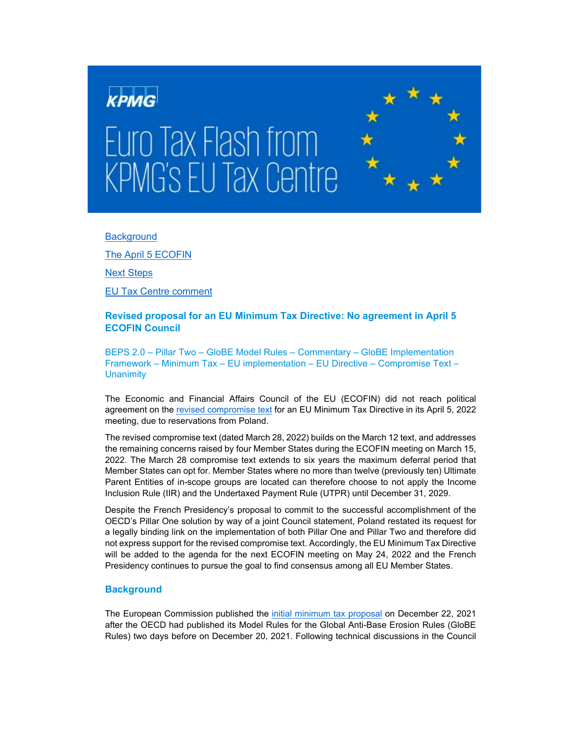

**Background** 

[The A](#page-1-0)pril 5 ECOFIN

[Next Steps](#page-2-0)

[EU Tax Centre comment](#page-2-1)

# **Revised proposal for an EU Minimum Tax Directive: No agreement in April 5 ECOFIN Council**

BEPS 2.0 – Pillar Two – GloBE Model Rules – Commentary – GloBE Implementation Framework – Minimum Tax – EU implementation – EU Directive – Compromise Text – **Unanimity** 

The Economic and Financial Affairs Council of the EU (ECOFIN) did not reach political agreement on the [revised compromise text](https://data.consilium.europa.eu/doc/document/ST-7495-2022-INIT/en/pdf) for an EU Minimum Tax Directive in its April 5, 2022 meeting, due to reservations from Poland.

The revised compromise text (dated March 28, 2022) builds on the March 12 text, and addresses the remaining concerns raised by four Member States during the ECOFIN meeting on March 15, 2022. The March 28 compromise text extends to six years the maximum deferral period that Member States can opt for. Member States where no more than twelve (previously ten) Ultimate Parent Entities of in-scope groups are located can therefore choose to not apply the Income Inclusion Rule (IIR) and the Undertaxed Payment Rule (UTPR) until December 31, 2029.

Despite the French Presidency's proposal to commit to the successful accomplishment of the OECD's Pillar One solution by way of a joint Council statement, Poland restated its request for a legally binding link on the implementation of both Pillar One and Pillar Two and therefore did not express support for the revised compromise text. Accordingly, the EU Minimum Tax Directive will be added to the agenda for the next ECOFIN meeting on May 24, 2022 and the French Presidency continues to pursue the goal to find consensus among all EU Member States.

# **Background**

The European Commission published the [initial minimum tax p](https://ec.europa.eu/taxation_customs/taxation-1/minimum-corporate-taxation_en?pk_campaign=minimum_corporate_taxation&pk_source=twitter&pk_medium=social)roposal on December 22, 2021 after the OECD had published its Model Rules for the Global Anti-Base Erosion Rules (GloBE Rules) two days before on December 20, 2021. Following technical discussions in the Council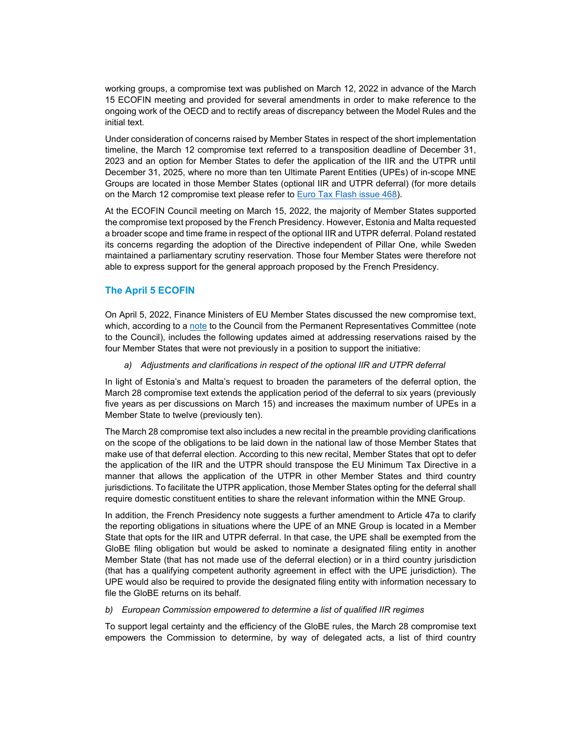working groups, a compromise text was published on March 12, 2022 in advance of the March 15 ECOFIN meeting and provided for several amendments in order to make reference to the ongoing work of the OECD and to rectify areas of discrepancy between the Model Rules and the initial text.

Under consideration of concerns raised by Member States in respect of the short implementation timeline, the March 12 compromise text referred to a transposition deadline of December 31, 2023 and an option for Member States to defer the application of the IIR and the UTPR until December 31, 2025, where no more than ten Ultimate Parent Entities (UPEs) of in-scope MNE Groups are located in those Member States (optional IIR and UTPR deferral) (for more details on the March 12 compromise text please refer to **Euro Tax Flash issue 468**).

At the ECOFIN Council meeting on March 15, 2022, the majority of Member States supported the compromise text proposed by the French Presidency. However, Estonia and Malta requested a broader scope and time frame in respect of the optional IIR and UTPR deferral. Poland restated its concerns regarding the adoption of the Directive independent of Pillar One, while Sweden maintained a parliamentary scrutiny reservation. Those four Member States were therefore not able to express support for the general approach proposed by the French Presidency.

# <span id="page-1-0"></span>**The April 5 ECOFIN**

On April 5, 2022, Finance Ministers of EU Member States discussed the new compromise text, which, according to [a note](https://eur-lex.europa.eu/legal-content/EN/TXT/PDF/?uri=CONSIL:ST_7709_2022_INIT&from=EN) to the Council from the Permanent Representatives Committee (note to the Council), includes the following updates aimed at addressing reservations raised by the four Member States that were not previously in a position to support the initiative:

### *a) Adjustments and clarifications in respect of the optional IIR and UTPR deferral*

In light of Estonia's and Malta's request to broaden the parameters of the deferral option, the March 28 compromise text extends the application period of the deferral to six years (previously five years as per discussions on March 15) and increases the maximum number of UPEs in a Member State to twelve (previously ten).

The March 28 compromise text also includes a new recital in the preamble providing clarifications on the scope of the obligations to be laid down in the national law of those Member States that make use of that deferral election. According to this new recital, Member States that opt to defer the application of the IIR and the UTPR should transpose the EU Minimum Tax Directive in a manner that allows the application of the UTPR in other Member States and third country jurisdictions. To facilitate the UTPR application, those Member States opting for the deferral shall require domestic constituent entities to share the relevant information within the MNE Group.

In addition, the French Presidency note suggests a further amendment to Article 47a to clarify the reporting obligations in situations where the UPE of an MNE Group is located in a Member State that opts for the IIR and UTPR deferral. In that case, the UPE shall be exempted from the GloBE filing obligation but would be asked to nominate a designated filing entity in another Member State (that has not made use of the deferral election) or in a third country jurisdiction (that has a qualifying competent authority agreement in effect with the UPE jurisdiction). The UPE would also be required to provide the designated filing entity with information necessary to file the GloBE returns on its behalf.

### *b) European Commission empowered to determine a list of qualified IIR regimes*

To support legal certainty and the efficiency of the GloBE rules, the March 28 compromise text empowers the Commission to determine, by way of delegated acts, a list of third country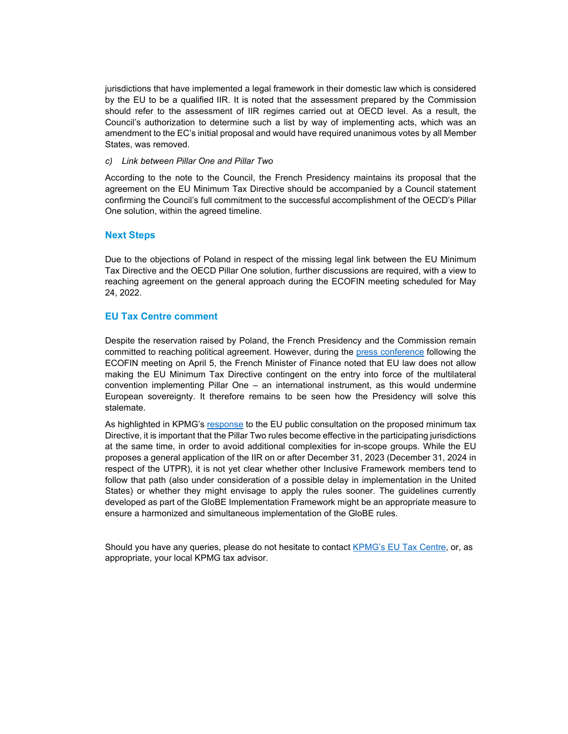jurisdictions that have implemented a legal framework in their domestic law which is considered by the EU to be a qualified IIR. It is noted that the assessment prepared by the Commission should refer to the assessment of IIR regimes carried out at OECD level. As a result, the Council's authorization to determine such a list by way of implementing acts, which was an amendment to the EC's initial proposal and would have required unanimous votes by all Member States, was removed.

#### *c) Link between Pillar One and Pillar Two*

According to the note to the Council, the French Presidency maintains its proposal that the agreement on the EU Minimum Tax Directive should be accompanied by a Council statement confirming the Council's full commitment to the successful accomplishment of the OECD's Pillar One solution, within the agreed timeline.

### <span id="page-2-0"></span>**Next Steps**

Due to the objections of Poland in respect of the missing legal link between the EU Minimum Tax Directive and the OECD Pillar One solution, further discussions are required, with a view to reaching agreement on the general approach during the ECOFIN meeting scheduled for May 24, 2022.

# <span id="page-2-1"></span>**EU Tax Centre comment**

Despite the reservation raised by Poland, the French Presidency and the Commission remain committed to reaching political agreement. However, during the [press conference](https://video.consilium.europa.eu/event/en/25656) following the ECOFIN meeting on April 5, the French Minister of Finance noted that EU law does not allow making the EU Minimum Tax Directive contingent on the entry into force of the multilateral convention implementing Pillar One – an international instrument, as this would undermine European sovereignty. It therefore remains to be seen how the Presidency will solve this stalemate.

As highlighted in KPMG's [response](https://assets.kpmg/content/dam/kpmg/xx/pdf/2022/03/kpmg-contribution-minimum-tax-directive-eu-consultation.pdf) to the EU public consultation on the proposed minimum tax Directive, it is important that the Pillar Two rules become effective in the participating jurisdictions at the same time, in order to avoid additional complexities for in-scope groups. While the EU proposes a general application of the IIR on or after December 31, 2023 (December 31, 2024 in respect of the UTPR), it is not yet clear whether other Inclusive Framework members tend to follow that path (also under consideration of a possible delay in implementation in the United States) or whether they might envisage to apply the rules sooner. The guidelines currently developed as part of the GloBE Implementation Framework might be an appropriate measure to ensure a harmonized and simultaneous implementation of the GloBE rules.

Should you have any queries, please do not hesitate to contact [KPMG's EU Tax Centre,](mailto:kpmgeutaxcentre@kpmg.com) or, as appropriate, your local KPMG tax advisor.